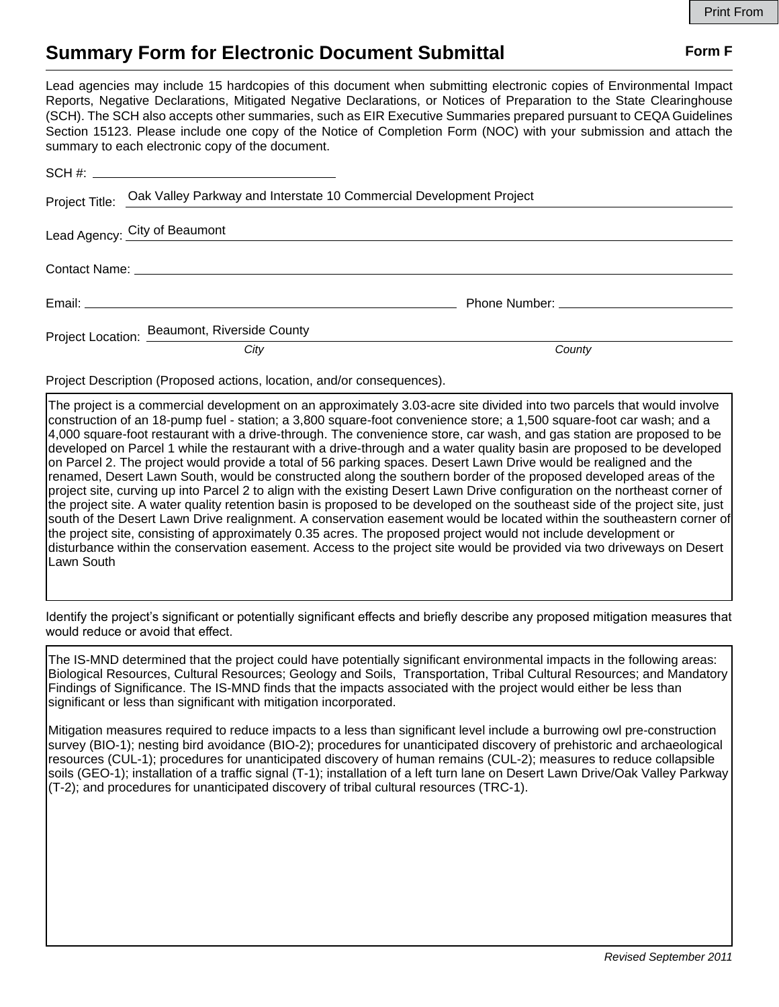## **Summary Form for Electronic Document Submittal Form F Form F**

Lead agencies may include 15 hardcopies of this document when submitting electronic copies of Environmental Impact Reports, Negative Declarations, Mitigated Negative Declarations, or Notices of Preparation to the State Clearinghouse (SCH). The SCH also accepts other summaries, such as EIR Executive Summaries prepared pursuant to CEQA Guidelines Section 15123. Please include one copy of the Notice of Completion Form (NOC) with your submission and attach the summary to each electronic copy of the document.

|  | Project Title: Oak Valley Parkway and Interstate 10 Commercial Development Project |                                               |  |
|--|------------------------------------------------------------------------------------|-----------------------------------------------|--|
|  | Lead Agency: City of Beaumont                                                      |                                               |  |
|  |                                                                                    |                                               |  |
|  |                                                                                    | Phone Number: National Assembly Phone Number: |  |
|  | Project Location: Beaumont, Riverside County                                       |                                               |  |
|  | City                                                                               | County                                        |  |

Project Description (Proposed actions, location, and/or consequences).

The project is a commercial development on an approximately 3.03-acre site divided into two parcels that would involve construction of an 18-pump fuel - station; a 3,800 square-foot convenience store; a 1,500 square-foot car wash; and a 4,000 square-foot restaurant with a drive-through. The convenience store, car wash, and gas station are proposed to be developed on Parcel 1 while the restaurant with a drive-through and a water quality basin are proposed to be developed on Parcel 2. The project would provide a total of 56 parking spaces. Desert Lawn Drive would be realigned and the renamed, Desert Lawn South, would be constructed along the southern border of the proposed developed areas of the project site, curving up into Parcel 2 to align with the existing Desert Lawn Drive configuration on the northeast corner of the project site. A water quality retention basin is proposed to be developed on the southeast side of the project site, just south of the Desert Lawn Drive realignment. A conservation easement would be located within the southeastern corner of the project site, consisting of approximately 0.35 acres. The proposed project would not include development or disturbance within the conservation easement. Access to the project site would be provided via two driveways on Desert Lawn South

Identify the project's significant or potentially significant effects and briefly describe any proposed mitigation measures that would reduce or avoid that effect.

The IS-MND determined that the project could have potentially significant environmental impacts in the following areas: Biological Resources, Cultural Resources; Geology and Soils, Transportation, Tribal Cultural Resources; and Mandatory Findings of Significance. The IS-MND finds that the impacts associated with the project would either be less than significant or less than significant with mitigation incorporated.

Mitigation measures required to reduce impacts to a less than significant level include a burrowing owl pre-construction survey (BIO-1); nesting bird avoidance (BIO-2); procedures for unanticipated discovery of prehistoric and archaeological resources (CUL-1); procedures for unanticipated discovery of human remains (CUL-2); measures to reduce collapsible soils (GEO-1); installation of a traffic signal (T-1); installation of a left turn lane on Desert Lawn Drive/Oak Valley Parkway (T-2); and procedures for unanticipated discovery of tribal cultural resources (TRC-1).